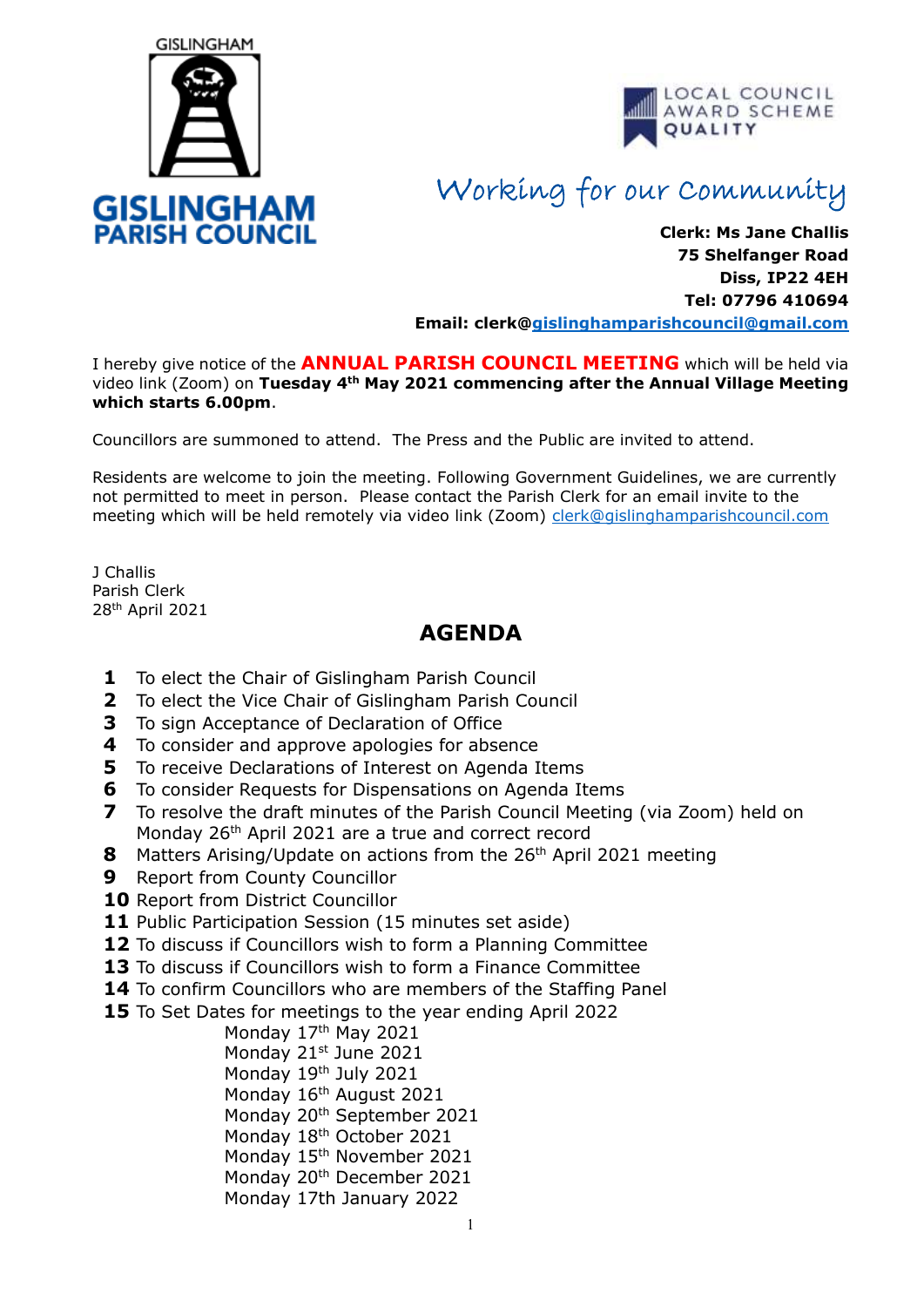



## Working for our Community

**Clerk: Ms Jane Challis 75 Shelfanger Road Diss, IP22 4EH Tel: 07796 410694**

**Email: clerk[@gislinghamparishcouncil@gmail.com](mailto:gislinghamparishcouncil@gmail.com)**

I hereby give notice of the **ANNUAL PARISH COUNCIL MEETING** which will be held via video link (Zoom) on **Tuesday 4th May 2021 commencing after the Annual Village Meeting which starts 6.00pm**.

Councillors are summoned to attend. The Press and the Public are invited to attend.

Residents are welcome to join the meeting. Following Government Guidelines, we are currently not permitted to meet in person. Please contact the Parish Clerk for an email invite to the meeting which will be held remotely via video link (Zoom) [clerk@gislinghamparishcouncil.com](mailto:clerk@gislinghamparishcouncil.com)

J Challis Parish Clerk 28th April 2021

## **AGENDA**

- **1** To elect the Chair of Gislingham Parish Council
- **2** To elect the Vice Chair of Gislingham Parish Council
- **3** To sign Acceptance of Declaration of Office
- **4** To consider and approve apologies for absence
- **5** To receive Declarations of Interest on Agenda Items
- **6** To consider Requests for Dispensations on Agenda Items
- **7** To resolve the draft minutes of the Parish Council Meeting (via Zoom) held on Monday 26th April 2021 are a true and correct record
- **8** Matters Arising/Update on actions from the 26<sup>th</sup> April 2021 meeting
- **9** Report from County Councillor
- **10** Report from District Councillor
- 11 Public Participation Session (15 minutes set aside)
- **12** To discuss if Councillors wish to form a Planning Committee
- **13** To discuss if Councillors wish to form a Finance Committee
- **14** To confirm Councillors who are members of the Staffing Panel
- **15** To Set Dates for meetings to the year ending April 2022

Monday 17<sup>th</sup> May 2021 Monday 21st June 2021 Monday 19th July 2021 Monday 16<sup>th</sup> August 2021 Monday 20<sup>th</sup> September 2021 Monday 18th October 2021 Monday 15<sup>th</sup> November 2021 Monday 20<sup>th</sup> December 2021 Monday 17th January 2022